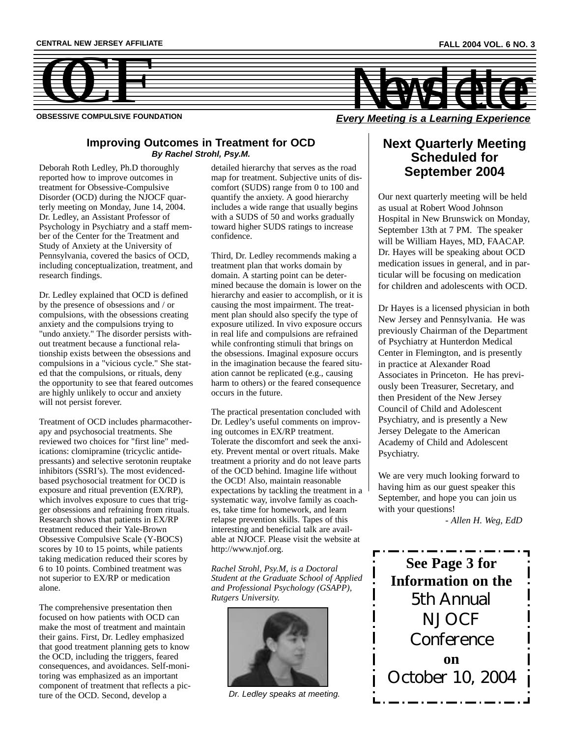

**OBSESSIVE COMPULSIVE FOUNDATION**

### **Improving Outcomes in Treatment for OCD** *By Rachel Strohl, Psy.M.*

Deborah Roth Ledley, Ph.D thoroughly reported how to improve outcomes in treatment for Obsessive-Compulsive Disorder (OCD) during the NJOCF quarterly meeting on Monday, June 14, 2004. Dr. Ledley, an Assistant Professor of Psychology in Psychiatry and a staff member of the Center for the Treatment and Study of Anxiety at the University of Pennsylvania, covered the basics of OCD, including conceptualization, treatment, and research findings.

Dr. Ledley explained that OCD is defined by the presence of obsessions and / or compulsions, with the obsessions creating anxiety and the compulsions trying to "undo anxiety." The disorder persists without treatment because a functional relationship exists between the obsessions and compulsions in a "vicious cycle." She stated that the compulsions, or rituals, deny the opportunity to see that feared outcomes are highly unlikely to occur and anxiety will not persist forever.

Treatment of OCD includes pharmacotherapy and psychosocial treatments. She reviewed two choices for "first line" medications: clomipramine (tricyclic antidepressants) and selective serotonin reuptake inhibitors (SSRI's). The most evidencedbased psychosocial treatment for OCD is exposure and ritual prevention (EX/RP), which involves exposure to cues that trigger obsessions and refraining from rituals. Research shows that patients in EX/RP treatment reduced their Yale-Brown Obsessive Compulsive Scale (Y-BOCS) scores by 10 to 15 points, while patients taking medication reduced their scores by 6 to 10 points. Combined treatment was not superior to EX/RP or medication alone.

The comprehensive presentation then focused on how patients with OCD can make the most of treatment and maintain their gains. First, Dr. Ledley emphasized that good treatment planning gets to know the OCD, including the triggers, feared consequences, and avoidances. Self-monitoring was emphasized as an important component of treatment that reflects a picture of the OCD. Second, develop a

detailed hierarchy that serves as the road map for treatment. Subjective units of discomfort (SUDS) range from 0 to 100 and quantify the anxiety. A good hierarchy includes a wide range that usually begins with a SUDS of 50 and works gradually toward higher SUDS ratings to increase confidence.

Third, Dr. Ledley recommends making a treatment plan that works domain by domain. A starting point can be determined because the domain is lower on the hierarchy and easier to accomplish, or it is causing the most impairment. The treatment plan should also specify the type of exposure utilized. In vivo exposure occurs in real life and compulsions are refrained while confronting stimuli that brings on the obsessions. Imaginal exposure occurs in the imagination because the feared situation cannot be replicated (e.g., causing harm to others) or the feared consequence occurs in the future.

The practical presentation concluded with Dr. Ledley's useful comments on improving outcomes in EX/RP treatment. Tolerate the discomfort and seek the anxiety. Prevent mental or overt rituals. Make treatment a priority and do not leave parts of the OCD behind. Imagine life without the OCD! Also, maintain reasonable expectations by tackling the treatment in a systematic way, involve family as coaches, take time for homework, and learn relapse prevention skills. Tapes of this interesting and beneficial talk are available at NJOCF. Please visit the website at http://www.njof.org.

*Rachel Strohl, Psy.M, is a Doctoral Student at the Graduate School of Applied and Professional Psychology (GSAPP), Rutgers University.*



*Dr. Ledley speaks at meeting.*

### **Next Quarterly Meeting Scheduled for September 2004**

Our next quarterly meeting will be held as usual at Robert Wood Johnson Hospital in New Brunswick on Monday, September 13th at 7 PM. The speaker will be William Hayes, MD, FAACAP. Dr. Hayes will be speaking about OCD medication issues in general, and in particular will be focusing on medication for children and adolescents with OCD.

Dr Hayes is a licensed physician in both New Jersey and Pennsylvania. He was previously Chairman of the Department of Psychiatry at Hunterdon Medical Center in Flemington, and is presently in practice at Alexander Road Associates in Princeton. He has previously been Treasurer, Secretary, and then President of the New Jersey Council of Child and Adolescent Psychiatry, and is presently a New Jersey Delegate to the American Academy of Child and Adolescent Psychiatry.

We are very much looking forward to having him as our guest speaker this September, and hope you can join us with your questions!

*- Allen H. Weg, EdD*

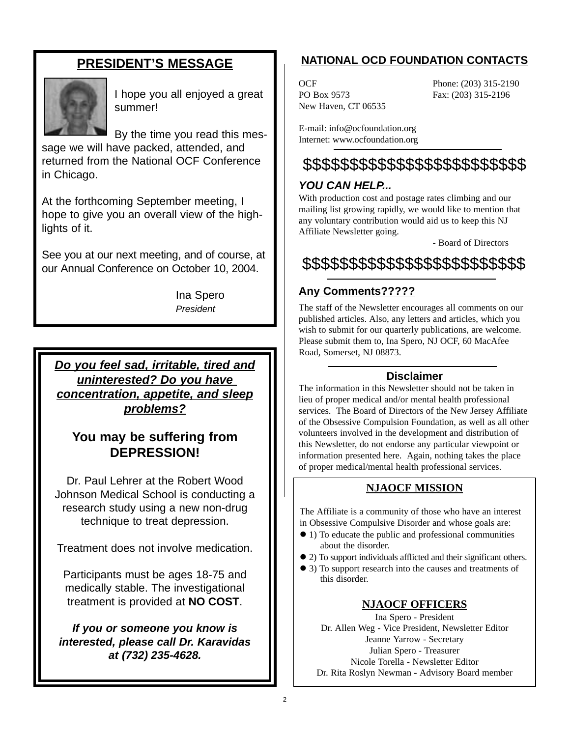## **PRESIDENT'S MESSAGE**



I hope you all enjoyed a great summer!

By the time you read this message we will have packed, attended, and returned from the National OCF Conference in Chicago.

At the forthcoming September meeting, I hope to give you an overall view of the highlights of it.

See you at our next meeting, and of course, at our Annual Conference on October 10, 2004.

> Ina Spero *President*

*Do you feel sad, irritable, tired and uninterested? Do you have concentration, appetite, and sleep problems?*

## **You may be suffering from DEPRESSION!**

Dr. Paul Lehrer at the Robert Wood Johnson Medical School is conducting a research study using a new non-drug technique to treat depression.

Treatment does not involve medication.

Participants must be ages 18-75 and medically stable. The investigational treatment is provided at **NO COST**.

*If you or someone you know is interested, please call Dr. Karavidas at (732) 235-4628.*

## **NATIONAL OCD FOUNDATION CONTACTS**

PO Box 9573 Fax: (203) 315-2196 New Haven, CT 06535

OCF Phone: (203) 315-2190

E-mail: info@ocfoundation.org Internet: www.ocfoundation.org

## \$\$\$\$\$\$\$\$\$\$\$\$\$\$\$\$\$\$\$\$\$\$\$\$

### *YOU CAN HELP...*

With production cost and postage rates climbing and our mailing list growing rapidly, we would like to mention that any voluntary contribution would aid us to keep this NJ Affiliate Newsletter going.

- Board of Directors

# \$\$\$\$\$\$\$\$\$\$\$\$\$\$\$\$\$\$\$\$\$\$\$\$

## **Any Comments?????**

The staff of the Newsletter encourages all comments on our published articles. Also, any letters and articles, which you wish to submit for our quarterly publications, are welcome. Please submit them to, Ina Spero, NJ OCF, 60 MacAfee Road, Somerset, NJ 08873.

### **Disclaimer**

The information in this Newsletter should not be taken in lieu of proper medical and/or mental health professional services. The Board of Directors of the New Jersey Affiliate of the Obsessive Compulsion Foundation, as well as all other volunteers involved in the development and distribution of this Newsletter, do not endorse any particular viewpoint or information presented here. Again, nothing takes the place of proper medical/mental health professional services.

### **NJAOCF MISSION**

The Affiliate is a community of those who have an interest in Obsessive Compulsive Disorder and whose goals are:

- ! 1) To educate the public and professional communities about the disorder.
- ! 2) To support individuals afflicted and their significant others.
- ! 3) To support research into the causes and treatments of this disorder.

### **NJAOCF OFFICERS**

Ina Spero - President Dr. Allen Weg - Vice President, Newsletter Editor Jeanne Yarrow - Secretary Julian Spero - Treasurer Nicole Torella - Newsletter Editor Dr. Rita Roslyn Newman - Advisory Board member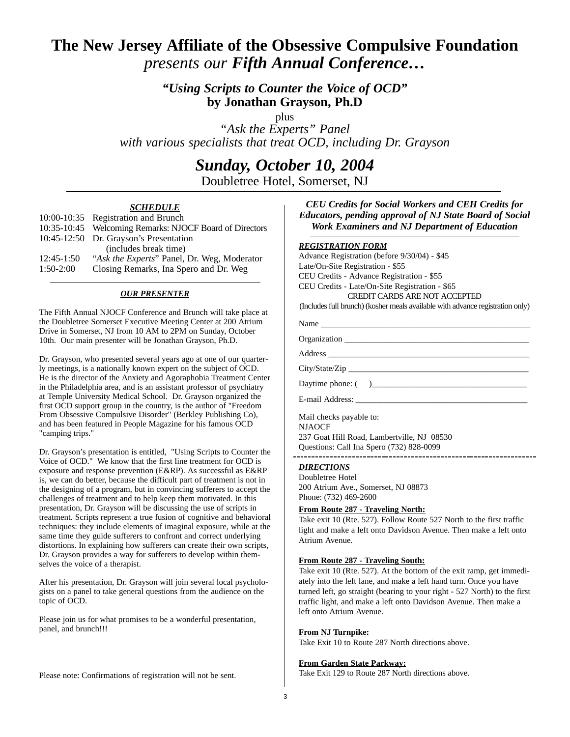## **The New Jersey Affiliate of the Obsessive Compulsive Foundation**  *presents our Fifth Annual Conference…*

*"Using Scripts to Counter the Voice of OCD"* **by Jonathan Grayson, Ph.D**

plus

*"Ask the Experts" Panel with various specialists that treat OCD, including Dr. Grayson*

## *Sunday, October 10, 2004*

Doubletree Hotel, Somerset, NJ

#### *SCHEDULE*

|              | 10:00-10:35 Registration and Brunch                     |  |
|--------------|---------------------------------------------------------|--|
|              | 10:35-10:45 Welcoming Remarks: NJOCF Board of Directors |  |
|              | 10:45-12:50 Dr. Grayson's Presentation                  |  |
|              | (includes break time)                                   |  |
| $12:45-1:50$ | "Ask the Experts" Panel, Dr. Weg, Moderator             |  |
| $1:50-2:00$  | Closing Remarks, Ina Spero and Dr. Weg                  |  |
|              |                                                         |  |

#### *OUR PRESENTER*

The Fifth Annual NJOCF Conference and Brunch will take place at the Doubletree Somerset Executive Meeting Center at 200 Atrium Drive in Somerset, NJ from 10 AM to 2PM on Sunday, October 10th. Our main presenter will be Jonathan Grayson, Ph.D.

Dr. Grayson, who presented several years ago at one of our quarterly meetings, is a nationally known expert on the subject of OCD. He is the director of the Anxiety and Agoraphobia Treatment Center in the Philadelphia area, and is an assistant professor of psychiatry at Temple University Medical School. Dr. Grayson organized the first OCD support group in the country, is the author of "Freedom From Obsessive Compulsive Disorder" (Berkley Publishing Co), and has been featured in People Magazine for his famous OCD "camping trips."

Dr. Grayson's presentation is entitled, "Using Scripts to Counter the Voice of OCD." We know that the first line treatment for OCD is exposure and response prevention (E&RP). As successful as E&RP is, we can do better, because the difficult part of treatment is not in the designing of a program, but in convincing sufferers to accept the challenges of treatment and to help keep them motivated. In this presentation, Dr. Grayson will be discussing the use of scripts in treatment. Scripts represent a true fusion of cognitive and behavioral techniques: they include elements of imaginal exposure, while at the same time they guide sufferers to confront and correct underlying distortions. In explaining how sufferers can create their own scripts, Dr. Grayson provides a way for sufferers to develop within themselves the voice of a therapist.

After his presentation, Dr. Grayson will join several local psychologists on a panel to take general questions from the audience on the topic of OCD.

Please join us for what promises to be a wonderful presentation, panel, and brunch!!!

Please note: Confirmations of registration will not be sent.

*CEU Credits for Social Workers and CEH Credits for Educators, pending approval of NJ State Board of Social Work Examiners and NJ Department of Education*

#### *REGISTRATION FORM*

Advance Registration (before 9/30/04) - \$45 Late/On-Site Registration - \$55 CEU Credits - Advance Registration - \$55 CEU Credits - Late/On-Site Registration - \$65 CREDIT CARDS ARE NOT ACCEPTED

(Includes full brunch) (kosher meals available with advance registration only)

Name \_\_\_\_\_\_\_\_\_\_\_\_\_\_\_\_\_\_\_\_\_\_\_\_\_\_\_\_\_\_\_\_\_\_\_\_\_\_\_\_\_\_\_\_\_\_\_\_\_\_

Organization \_\_\_\_\_\_\_\_\_\_\_\_\_\_\_\_\_\_\_\_\_\_\_\_\_\_\_\_\_\_\_\_\_\_\_\_\_\_\_\_\_\_\_\_

Address \_\_\_\_\_\_\_\_\_\_\_\_\_\_\_\_\_\_\_\_\_\_\_\_\_\_\_\_\_\_\_\_\_\_\_\_\_\_\_\_\_\_\_\_\_\_\_\_

City/State/Zip

Daytime phone:  $(\ )$ 

E-mail Address: \_\_\_\_\_\_\_\_\_\_\_\_\_\_\_\_\_\_\_\_\_\_\_\_\_\_\_\_\_\_\_\_\_\_\_\_\_\_\_\_\_

Mail checks payable to: NJAOCF 237 Goat Hill Road, Lambertville, NJ 08530 Questions: Call Ina Spero (732) 828-0099

### *DIRECTIONS*

Doubletree Hotel 200 Atrium Ave., Somerset, NJ 08873 Phone: (732) 469-2600

#### **From Route 287 - Traveling North:**

Take exit 10 (Rte. 527). Follow Route 527 North to the first traffic light and make a left onto Davidson Avenue. Then make a left onto Atrium Avenue.

#### **From Route 287 - Traveling South:**

Take exit 10 (Rte. 527). At the bottom of the exit ramp, get immediately into the left lane, and make a left hand turn. Once you have turned left, go straight (bearing to your right - 527 North) to the first traffic light, and make a left onto Davidson Avenue. Then make a left onto Atrium Avenue.

#### **From NJ Turnpike:**

Take Exit 10 to Route 287 North directions above.

#### **From Garden State Parkway:**

Take Exit 129 to Route 287 North directions above.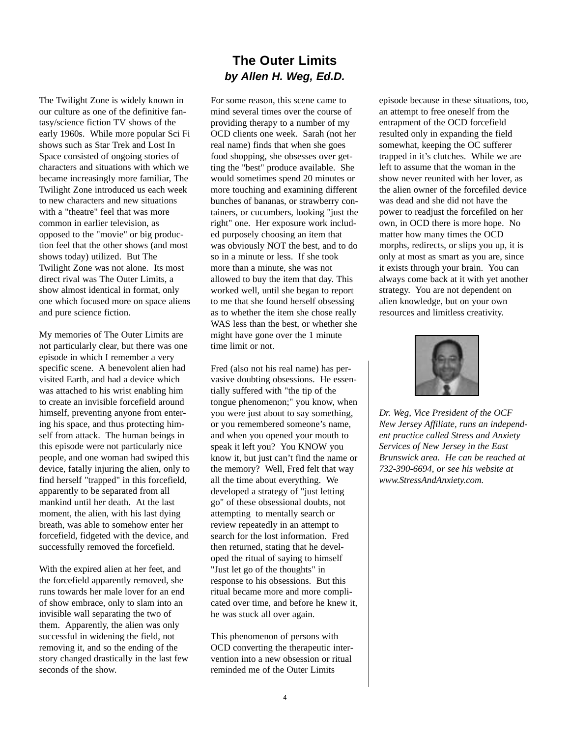The Twilight Zone is widely known in our culture as one of the definitive fantasy/science fiction TV shows of the early 1960s. While more popular Sci Fi shows such as Star Trek and Lost In Space consisted of ongoing stories of characters and situations with which we became increasingly more familiar, The Twilight Zone introduced us each week to new characters and new situations with a "theatre" feel that was more common in earlier television, as opposed to the "movie" or big production feel that the other shows (and most shows today) utilized. But The Twilight Zone was not alone. Its most direct rival was The Outer Limits, a show almost identical in format, only one which focused more on space aliens and pure science fiction.

My memories of The Outer Limits are not particularly clear, but there was one episode in which I remember a very specific scene. A benevolent alien had visited Earth, and had a device which was attached to his wrist enabling him to create an invisible forcefield around himself, preventing anyone from entering his space, and thus protecting himself from attack. The human beings in this episode were not particularly nice people, and one woman had swiped this device, fatally injuring the alien, only to find herself "trapped" in this forcefield, apparently to be separated from all mankind until her death. At the last moment, the alien, with his last dying breath, was able to somehow enter her forcefield, fidgeted with the device, and successfully removed the forcefield.

With the expired alien at her feet, and the forcefield apparently removed, she runs towards her male lover for an end of show embrace, only to slam into an invisible wall separating the two of them. Apparently, the alien was only successful in widening the field, not removing it, and so the ending of the story changed drastically in the last few seconds of the show.

### **The Outer Limits** *by Allen H. Weg, Ed.D.*

For some reason, this scene came to mind several times over the course of providing therapy to a number of my OCD clients one week. Sarah (not her real name) finds that when she goes food shopping, she obsesses over getting the "best" produce available. She would sometimes spend 20 minutes or more touching and examining different bunches of bananas, or strawberry containers, or cucumbers, looking "just the right" one. Her exposure work included purposely choosing an item that was obviously NOT the best, and to do so in a minute or less. If she took more than a minute, she was not allowed to buy the item that day. This worked well, until she began to report to me that she found herself obsessing as to whether the item she chose really WAS less than the best, or whether she might have gone over the 1 minute time limit or not.

Fred (also not his real name) has pervasive doubting obsessions. He essentially suffered with "the tip of the tongue phenomenon;" you know, when you were just about to say something, or you remembered someone's name, and when you opened your mouth to speak it left you? You KNOW you know it, but just can't find the name or the memory? Well, Fred felt that way all the time about everything. We developed a strategy of "just letting go" of these obsessional doubts, not attempting to mentally search or review repeatedly in an attempt to search for the lost information. Fred then returned, stating that he developed the ritual of saying to himself "Just let go of the thoughts" in response to his obsessions. But this ritual became more and more complicated over time, and before he knew it, he was stuck all over again.

This phenomenon of persons with OCD converting the therapeutic intervention into a new obsession or ritual reminded me of the Outer Limits

episode because in these situations, too, an attempt to free oneself from the entrapment of the OCD forcefield resulted only in expanding the field somewhat, keeping the OC sufferer trapped in it's clutches. While we are left to assume that the woman in the show never reunited with her lover, as the alien owner of the forcefiled device was dead and she did not have the power to readjust the forcefiled on her own, in OCD there is more hope. No matter how many times the OCD morphs, redirects, or slips you up, it is only at most as smart as you are, since it exists through your brain. You can always come back at it with yet another strategy. You are not dependent on alien knowledge, but on your own resources and limitless creativity.



*Dr. Weg, Vice President of the OCF New Jersey Affiliate, runs an independent practice called Stress and Anxiety Services of New Jersey in the East Brunswick area. He can be reached at 732-390-6694, or see his website at www.StressAndAnxiety.com.*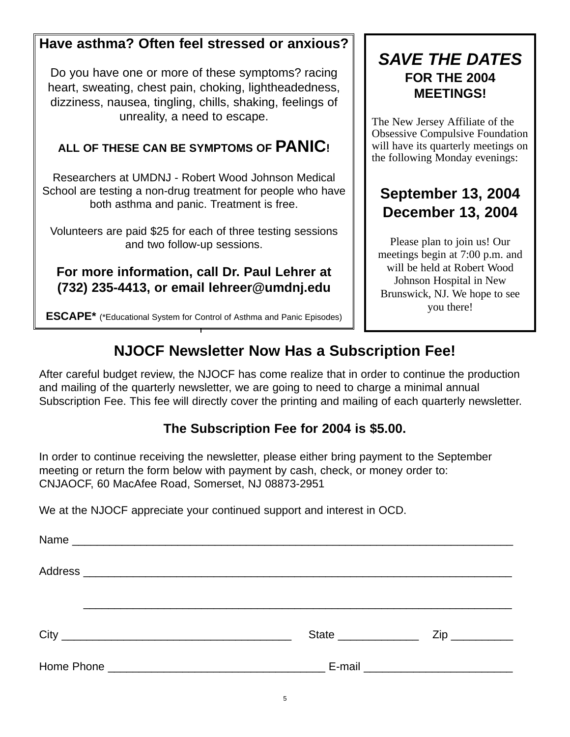## **Have asthma? Often feel stressed or anxious?**

Do you have one or more of these symptoms? racing heart, sweating, chest pain, choking, lightheadedness, dizziness, nausea, tingling, chills, shaking, feelings of unreality, a need to escape.

## **ALL OF THESE CAN BE SYMPTOMS OF PANIC!**

Researchers at UMDNJ - Robert Wood Johnson Medical School are testing a non-drug treatment for people who have both asthma and panic. Treatment is free.

Volunteers are paid \$25 for each of three testing sessions and two follow-up sessions.

## **For more information, call Dr. Paul Lehrer at (732) 235-4413, or email lehreer@umdnj.edu**

## *SAVE THE DATES* **FOR THE 2004 MEETINGS!**

The New Jersey Affiliate of the Obsessive Compulsive Foundation will have its quarterly meetings on the following Monday evenings:

## **September 13, 2004 December 13, 2004**

Please plan to join us! Our meetings begin at 7:00 p.m. and will be held at Robert Wood Johnson Hospital in New Brunswick, NJ. We hope to see you there!

**ESCAPE\*** (\*Educational System for Control of Asthma and Panic Episodes)

# **NJOCF Newsletter Now Has a Subscription Fee!**

After careful budget review, the NJOCF has come realize that in order to continue the production and mailing of the quarterly newsletter, we are going to need to charge a minimal annual Subscription Fee. This fee will directly cover the printing and mailing of each quarterly newsletter.

## **The Subscription Fee for 2004 is \$5.00.**

In order to continue receiving the newsletter, please either bring payment to the September meeting or return the form below with payment by cash, check, or money order to: CNJAOCF, 60 MacAfee Road, Somerset, NJ 08873-2951

We at the NJOCF appreciate your continued support and interest in OCD.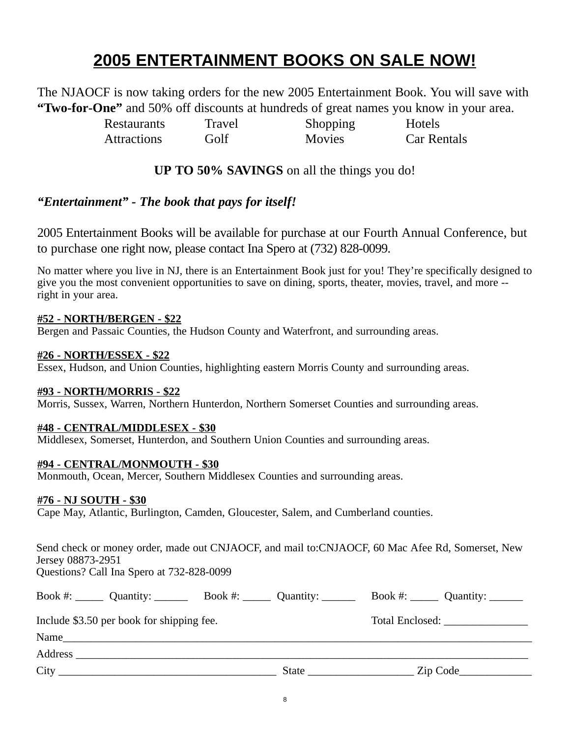## **2005 ENTERTAINMENT BOOKS ON SALE NOW!**

The NJAOCF is now taking orders for the new 2005 Entertainment Book. You will save with **"Two-for-One"** and 50% off discounts at hundreds of great names you know in your area.

Restaurants Travel Shopping Hotels

Attractions Golf Movies Car Rentals

**UP TO 50% SAVINGS** on all the things you do!

## *"Entertainment" - The book that pays for itself!*

2005 Entertainment Books will be available for purchase at our Fourth Annual Conference, but to purchase one right now, please contact Ina Spero at (732) 828-0099.

No matter where you live in NJ, there is an Entertainment Book just for you! They're specifically designed to give you the most convenient opportunities to save on dining, sports, theater, movies, travel, and more - right in your area.

### **#52 - NORTH/BERGEN - \$22**

Bergen and Passaic Counties, the Hudson County and Waterfront, and surrounding areas.

### **#26 - NORTH/ESSEX - \$22**

Essex, Hudson, and Union Counties, highlighting eastern Morris County and surrounding areas.

### **#93 - NORTH/MORRIS - \$22**

Morris, Sussex, Warren, Northern Hunterdon, Northern Somerset Counties and surrounding areas.

### **#48 - CENTRAL/MIDDLESEX - \$30**

Middlesex, Somerset, Hunterdon, and Southern Union Counties and surrounding areas.

### **#94 - CENTRAL/MONMOUTH - \$30**

Monmouth, Ocean, Mercer, Southern Middlesex Counties and surrounding areas.

### **#76 - NJ SOUTH - \$30**

Cape May, Atlantic, Burlington, Camden, Gloucester, Salem, and Cumberland counties.

Send check or money order, made out CNJAOCF, and mail to:CNJAOCF, 60 Mac Afee Rd, Somerset, New Jersey 08873-2951

Questions? Call Ina Spero at 732-828-0099

| Book #: $\_\_\_\_\_\_\_\_\_\_\_\_\_\_\_\_\_\_\_\_\_\_\_\_\_\_\_\_\_\_\_$ Book #: $\_\_\_\_\_\_\_\_\_\_\_\_\_\_\_\_\_\_\_\_\_\_\_\_\_\_\_$                                                                                      | Book #: $\_\_\_\_\_\_$ Quantity: $\_\_\_\_\_\_\_\_\_\_\_\_$ |
|--------------------------------------------------------------------------------------------------------------------------------------------------------------------------------------------------------------------------------|-------------------------------------------------------------|
| Include \$3.50 per book for shipping fee.                                                                                                                                                                                      | Total Enclosed:                                             |
| Name<br><u> 1989 - John Stoff, der andere som der andere som den stad i den stad i den stad i den stad i den stad i den s</u>                                                                                                  |                                                             |
| Address and the state of the state of the state of the state of the state of the state of the state of the state of the state of the state of the state of the state of the state of the state of the state of the state of th |                                                             |
| City                                                                                                                                                                                                                           | State <u>Zip</u> Code                                       |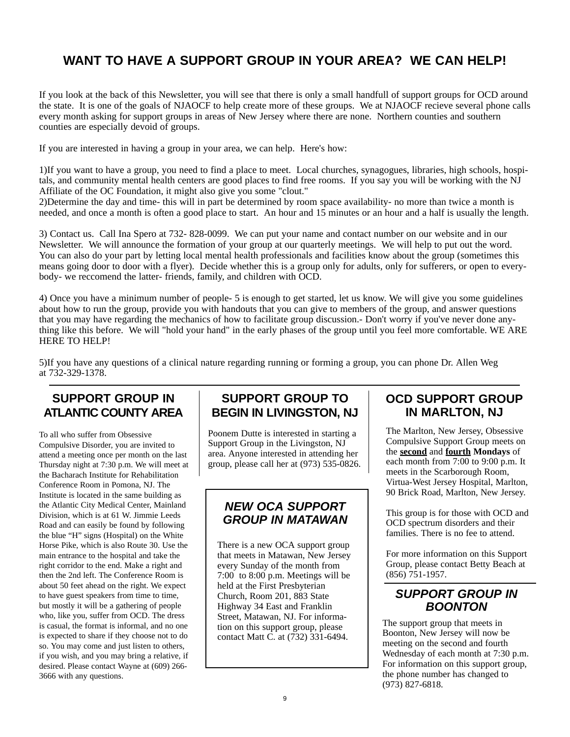## **WANT TO HAVE A SUPPORT GROUP IN YOUR AREA? WE CAN HELP!**

If you look at the back of this Newsletter, you will see that there is only a small handfull of support groups for OCD around the state. It is one of the goals of NJAOCF to help create more of these groups. We at NJAOCF recieve several phone calls every month asking for support groups in areas of New Jersey where there are none. Northern counties and southern counties are especially devoid of groups.

If you are interested in having a group in your area, we can help. Here's how:

1)If you want to have a group, you need to find a place to meet. Local churches, synagogues, libraries, high schools, hospitals, and community mental health centers are good places to find free rooms. If you say you will be working with the NJ Affiliate of the OC Foundation, it might also give you some "clout."

2)Determine the day and time- this will in part be determined by room space availability- no more than twice a month is needed, and once a month is often a good place to start. An hour and 15 minutes or an hour and a half is usually the length.

3) Contact us. Call Ina Spero at 732- 828-0099. We can put your name and contact number on our website and in our Newsletter. We will announce the formation of your group at our quarterly meetings. We will help to put out the word. You can also do your part by letting local mental health professionals and facilities know about the group (sometimes this means going door to door with a flyer). Decide whether this is a group only for adults, only for sufferers, or open to everybody- we reccomend the latter- friends, family, and children with OCD.

4) Once you have a minimum number of people- 5 is enough to get started, let us know. We will give you some guidelines about how to run the group, provide you with handouts that you can give to members of the group, and answer questions that you may have regarding the mechanics of how to facilitate group discussion.- Don't worry if you've never done anything like this before. We will "hold your hand" in the early phases of the group until you feel more comfortable. WE ARE HERE TO HELP!

5)If you have any questions of a clinical nature regarding running or forming a group, you can phone Dr. Allen Weg at 732-329-1378.

## **SUPPORT GROUP IN ATLANTIC COUNTY AREA**

To all who suffer from Obsessive Compulsive Disorder, you are invited to attend a meeting once per month on the last Thursday night at 7:30 p.m. We will meet at the Bacharach Institute for Rehabilitation Conference Room in Pomona, NJ. The Institute is located in the same building as the Atlantic City Medical Center, Mainland Division, which is at 61 W. Jimmie Leeds Road and can easily be found by following the blue "H" signs (Hospital) on the White Horse Pike, which is also Route 30. Use the main entrance to the hospital and take the right corridor to the end. Make a right and then the 2nd left. The Conference Room is about 50 feet ahead on the right. We expect to have guest speakers from time to time, but mostly it will be a gathering of people who, like you, suffer from OCD. The dress is casual, the format is informal, and no one is expected to share if they choose not to do so. You may come and just listen to others, if you wish, and you may bring a relative, if desired. Please contact Wayne at (609) 266- 3666 with any questions.

### **SUPPORT GROUP TO BEGIN IN LIVINGSTON, NJ**

Poonem Dutte is interested in starting a Support Group in the Livingston, NJ area. Anyone interested in attending her group, please call her at (973) 535-0826.

### *NEW OCA SUPPORT GROUP IN MATAWAN*

There is a new OCA support group that meets in Matawan, New Jersey every Sunday of the month from 7:00 to 8:00 p.m. Meetings will be held at the First Presbyterian Church, Room 201, 883 State Highway 34 East and Franklin Street, Matawan, NJ. For information on this support group, please contact Matt C. at (732) 331-6494.

### **OCD SUPPORT GROUP IN MARLTON, NJ**

The Marlton, New Jersey, Obsessive Compulsive Support Group meets on the **second** and **fourth Mondays** of each month from 7:00 to 9:00 p.m. It meets in the Scarborough Room, Virtua-West Jersey Hospital, Marlton, 90 Brick Road, Marlton, New Jersey.

This group is for those with OCD and OCD spectrum disorders and their families. There is no fee to attend.

For more information on this Support Group, please contact Betty Beach at (856) 751-1957.

### *SUPPORT GROUP IN BOONTON*

The support group that meets in Boonton, New Jersey will now be meeting on the second and fourth Wednesday of each month at 7:30 p.m. For information on this support group, the phone number has changed to (973) 827-6818.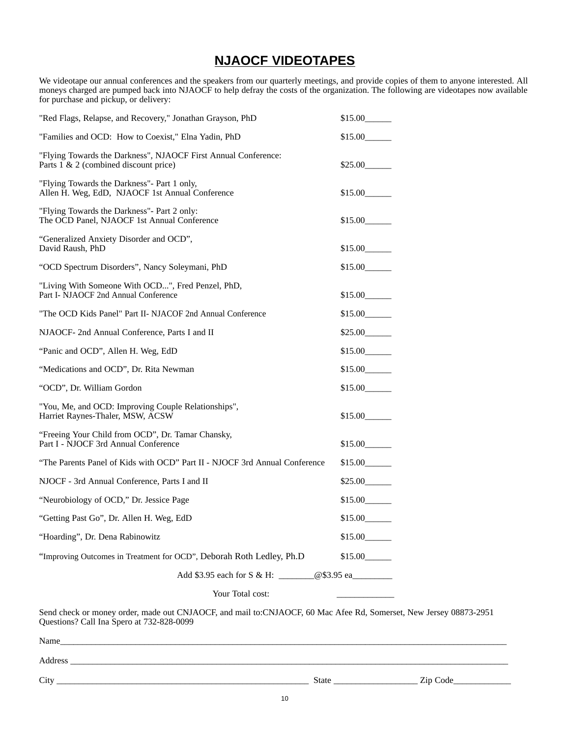## **NJAOCF VIDEOTAPES**

We videotape our annual conferences and the speakers from our quarterly meetings, and provide copies of them to anyone interested. All moneys charged are pumped back into NJAOCF to help defray the costs of the organization. The following are videotapes now available for purchase and pickup, or delivery:

| "Red Flags, Relapse, and Recovery," Jonathan Grayson, PhD                                               | \$15.00 |
|---------------------------------------------------------------------------------------------------------|---------|
| "Families and OCD: How to Coexist," Elna Yadin, PhD                                                     | \$15.00 |
| "Flying Towards the Darkness", NJAOCF First Annual Conference:<br>Parts 1 & 2 (combined discount price) | \$25.00 |
| "Flying Towards the Darkness"- Part 1 only,<br>Allen H. Weg, EdD, NJAOCF 1st Annual Conference          | \$15.00 |
| "Flying Towards the Darkness" - Part 2 only:<br>The OCD Panel, NJAOCF 1st Annual Conference             | \$15.00 |
| "Generalized Anxiety Disorder and OCD",<br>David Raush, PhD                                             | \$15.00 |
| "OCD Spectrum Disorders", Nancy Soleymani, PhD                                                          | \$15.00 |
| "Living With Someone With OCD", Fred Penzel, PhD,<br>Part I- NJAOCF 2nd Annual Conference               | \$15.00 |
| "The OCD Kids Panel" Part II- NJACOF 2nd Annual Conference                                              | \$15.00 |
| NJAOCF- 2nd Annual Conference, Parts I and II                                                           | \$25.00 |
| "Panic and OCD", Allen H. Weg, EdD                                                                      | \$15.00 |
| "Medications and OCD", Dr. Rita Newman                                                                  | \$15.00 |
| "OCD", Dr. William Gordon                                                                               | \$15.00 |
| "You, Me, and OCD: Improving Couple Relationships",<br>Harriet Raynes-Thaler, MSW, ACSW                 | \$15.00 |
| "Freeing Your Child from OCD", Dr. Tamar Chansky,<br>Part I - NJOCF 3rd Annual Conference               | \$15.00 |
| "The Parents Panel of Kids with OCD" Part II - NJOCF 3rd Annual Conference                              | \$15.00 |
| NJOCF - 3rd Annual Conference, Parts I and II                                                           | \$25.00 |
| "Neurobiology of OCD," Dr. Jessice Page                                                                 | \$15.00 |
| "Getting Past Go", Dr. Allen H. Weg, EdD                                                                | \$15.00 |
| "Hoarding", Dr. Dena Rabinowitz                                                                         | \$15.00 |
| "Improving Outcomes in Treatment for OCD", Deborah Roth Ledley, Ph.D                                    | \$15.00 |
|                                                                                                         |         |
| Your Total cost:                                                                                        |         |

Send check or money order, made out CNJAOCF, and mail to:CNJAOCF, 60 Mac Afee Rd, Somerset, New Jersey 08873-2951 Questions? Call Ina Spero at 732-828-0099

| Name    |       |             |
|---------|-------|-------------|
| Address |       |             |
| City    | State | _ Zip Code_ |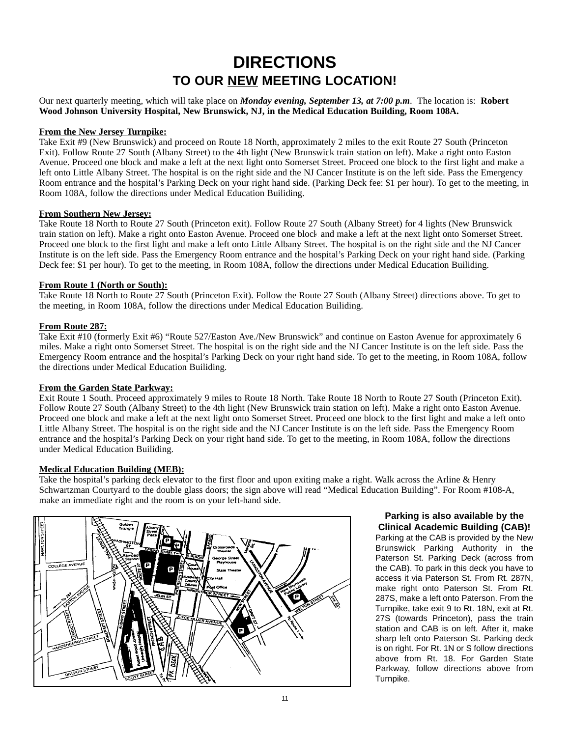## **DIRECTIONS TO OUR NEW MEETING LOCATION!**

Our next quarterly meeting, which will take place on *Monday evening, September 13, at 7:00 p.m*. The location is: **Robert Wood Johnson University Hospital, New Brunswick, NJ, in the Medical Education Building, Room 108A.**

#### **From the New Jersey Turnpike:**

Take Exit #9 (New Brunswick) and proceed on Route 18 North, approximately 2 miles to the exit Route 27 South (Princeton Exit). Follow Route 27 South (Albany Street) to the 4th light (New Brunswick train station on left). Make a right onto Easton Avenue. Proceed one block and make a left at the next light onto Somerset Street. Proceed one block to the first light and make a left onto Little Albany Street. The hospital is on the right side and the NJ Cancer Institute is on the left side. Pass the Emergency Room entrance and the hospital's Parking Deck on your right hand side. (Parking Deck fee: \$1 per hour). To get to the meeting, in Room 108A, follow the directions under Medical Education Builiding.

#### **From Southern New Jersey:**

Take Route 18 North to Route 27 South (Princeton exit). Follow Route 27 South (Albany Street) for 4 lights (New Brunswick train station on left). Make a right onto Easton Avenue. Proceed one block and make a left at the next light onto Somerset Street. Proceed one block to the first light and make a left onto Little Albany Street. The hospital is on the right side and the NJ Cancer Institute is on the left side. Pass the Emergency Room entrance and the hospital's Parking Deck on your right hand side. (Parking Deck fee: \$1 per hour). To get to the meeting, in Room 108A, follow the directions under Medical Education Builiding.

#### **From Route 1 (North or South):**

Take Route 18 North to Route 27 South (Princeton Exit). Follow the Route 27 South (Albany Street) directions above. To get to the meeting, in Room 108A, follow the directions under Medical Education Builiding.

#### **From Route 287:**

Take Exit #10 (formerly Exit #6) "Route 527/Easton Ave./New Brunswick" and continue on Easton Avenue for approximately 6 miles. Make a right onto Somerset Street. The hospital is on the right side and the NJ Cancer Institute is on the left side. Pass the Emergency Room entrance and the hospital's Parking Deck on your right hand side. To get to the meeting, in Room 108A, follow the directions under Medical Education Builiding.

#### **From the Garden State Parkway:**

Exit Route 1 South. Proceed approximately 9 miles to Route 18 North. Take Route 18 North to Route 27 South (Princeton Exit). Follow Route 27 South (Albany Street) to the 4th light (New Brunswick train station on left). Make a right onto Easton Avenue. Proceed one block and make a left at the next light onto Somerset Street. Proceed one block to the first light and make a left onto Little Albany Street. The hospital is on the right side and the NJ Cancer Institute is on the left side. Pass the Emergency Room entrance and the hospital's Parking Deck on your right hand side. To get to the meeting, in Room 108A, follow the directions under Medical Education Builiding.

#### **Medical Education Building (MEB):**

Take the hospital's parking deck elevator to the first floor and upon exiting make a right. Walk across the Arline & Henry Schwartzman Courtyard to the double glass doors; the sign above will read "Medical Education Building". For Room #108-A, make an immediate right and the room is on your left-hand side.



### **Parking is also available by the Clinical Academic Building (CAB)!**

Parking at the CAB is provided by the New Brunswick Parking Authority in the Paterson St. Parking Deck (across from the CAB). To park in this deck you have to access it via Paterson St. From Rt. 287N, make right onto Paterson St. From Rt. 287S, make a left onto Paterson. From the Turnpike, take exit 9 to Rt. 18N, exit at Rt. 27S (towards Princeton), pass the train station and CAB is on left. After it, make sharp left onto Paterson St. Parking deck is on right. For Rt. 1N or S follow directions above from Rt. 18. For Garden State Parkway, follow directions above from Turnpike.